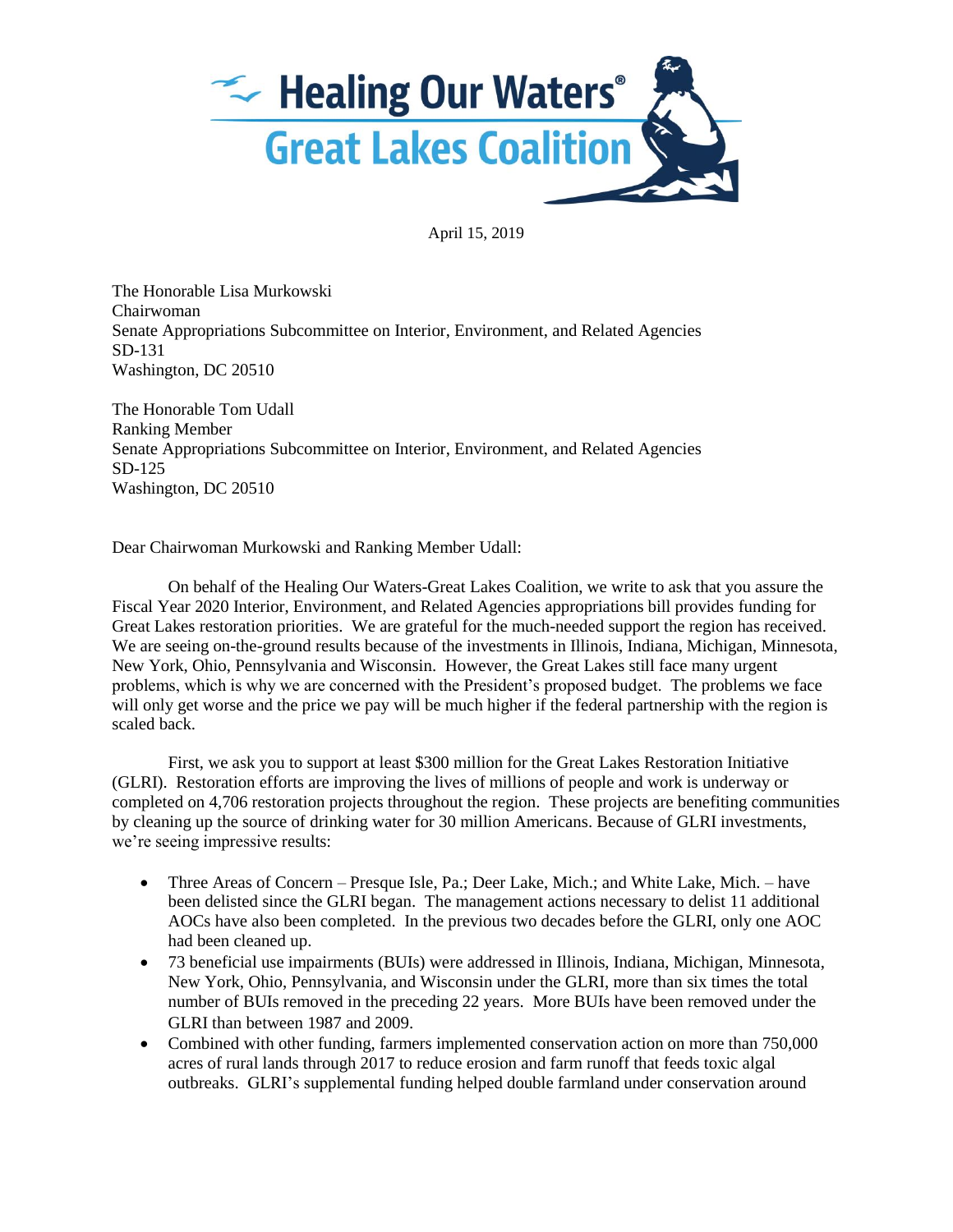

April 15, 2019

The Honorable Lisa Murkowski Chairwoman Senate Appropriations Subcommittee on Interior, Environment, and Related Agencies SD-131 Washington, DC 20510

The Honorable Tom Udall Ranking Member Senate Appropriations Subcommittee on Interior, Environment, and Related Agencies SD-125 Washington, DC 20510

Dear Chairwoman Murkowski and Ranking Member Udall:

On behalf of the Healing Our Waters-Great Lakes Coalition, we write to ask that you assure the Fiscal Year 2020 Interior, Environment, and Related Agencies appropriations bill provides funding for Great Lakes restoration priorities. We are grateful for the much-needed support the region has received. We are seeing on-the-ground results because of the investments in Illinois, Indiana, Michigan, Minnesota, New York, Ohio, Pennsylvania and Wisconsin. However, the Great Lakes still face many urgent problems, which is why we are concerned with the President's proposed budget. The problems we face will only get worse and the price we pay will be much higher if the federal partnership with the region is scaled back.

First, we ask you to support at least \$300 million for the Great Lakes Restoration Initiative (GLRI). Restoration efforts are improving the lives of millions of people and work is underway or completed on 4,706 restoration projects throughout the region. These projects are benefiting communities by cleaning up the source of drinking water for 30 million Americans. Because of GLRI investments, we're seeing impressive results:

- Three Areas of Concern Presque Isle, Pa.; Deer Lake, Mich.; and White Lake, Mich. have been delisted since the GLRI began. The management actions necessary to delist 11 additional AOCs have also been completed. In the previous two decades before the GLRI, only one AOC had been cleaned up.
- 73 beneficial use impairments (BUIs) were addressed in Illinois, Indiana, Michigan, Minnesota, New York, Ohio, Pennsylvania, and Wisconsin under the GLRI, more than six times the total number of BUIs removed in the preceding 22 years. More BUIs have been removed under the GLRI than between 1987 and 2009.
- Combined with other funding, farmers implemented conservation action on more than 750,000 acres of rural lands through 2017 to reduce erosion and farm runoff that feeds toxic algal outbreaks. GLRI's supplemental funding helped double farmland under conservation around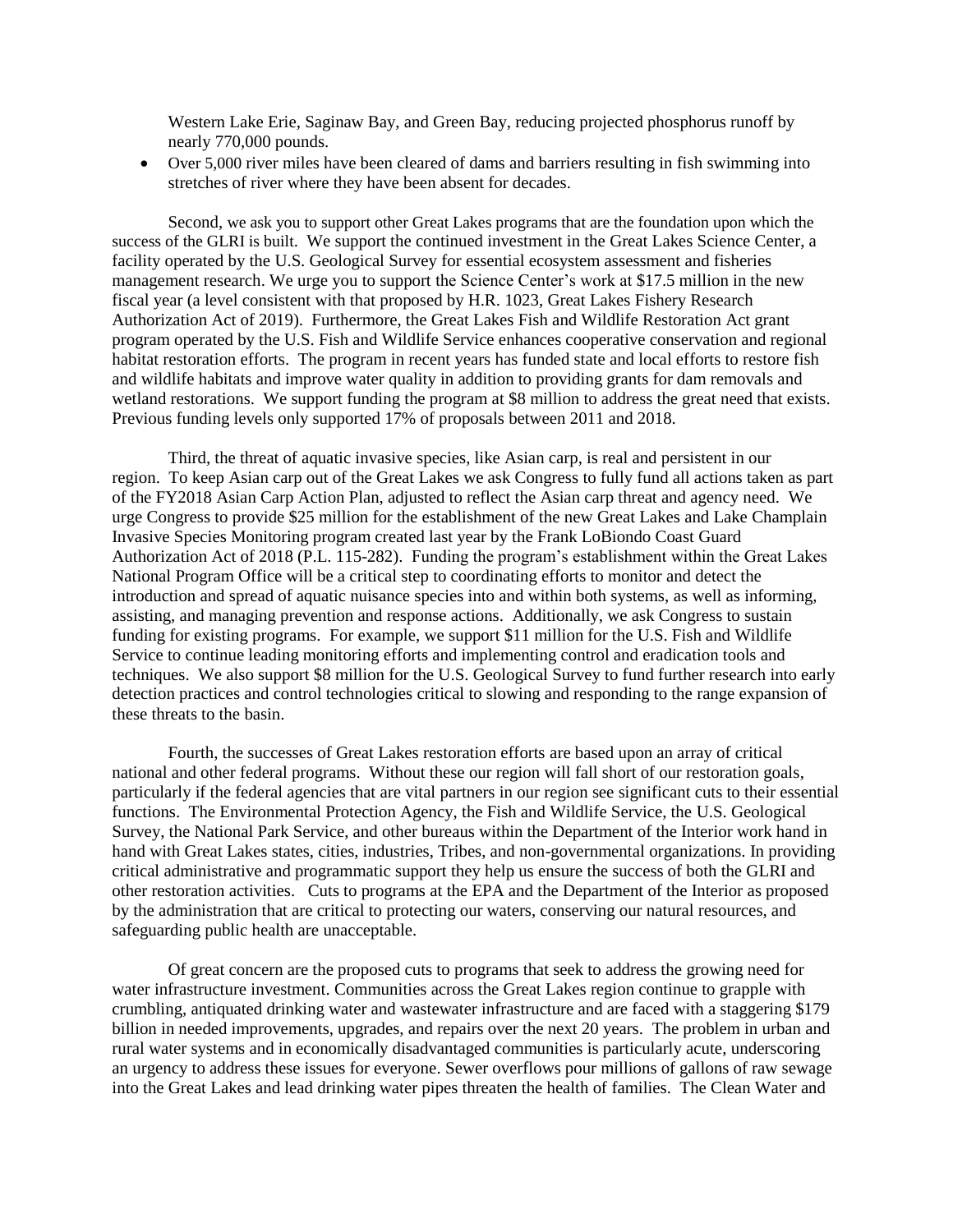Western Lake Erie, Saginaw Bay, and Green Bay, reducing projected phosphorus runoff by nearly 770,000 pounds.

• Over 5,000 river miles have been cleared of dams and barriers resulting in fish swimming into stretches of river where they have been absent for decades.

Second, we ask you to support other Great Lakes programs that are the foundation upon which the success of the GLRI is built. We support the continued investment in the Great Lakes Science Center, a facility operated by the U.S. Geological Survey for essential ecosystem assessment and fisheries management research. We urge you to support the Science Center's work at \$17.5 million in the new fiscal year (a level consistent with that proposed by H.R. 1023, Great Lakes Fishery Research Authorization Act of 2019). Furthermore, the Great Lakes Fish and Wildlife Restoration Act grant program operated by the U.S. Fish and Wildlife Service enhances cooperative conservation and regional habitat restoration efforts. The program in recent years has funded state and local efforts to restore fish and wildlife habitats and improve water quality in addition to providing grants for dam removals and wetland restorations. We support funding the program at \$8 million to address the great need that exists. Previous funding levels only supported 17% of proposals between 2011 and 2018.

Third, the threat of aquatic invasive species, like Asian carp, is real and persistent in our region. To keep Asian carp out of the Great Lakes we ask Congress to fully fund all actions taken as part of the FY2018 Asian Carp Action Plan, adjusted to reflect the Asian carp threat and agency need. We urge Congress to provide \$25 million for the establishment of the new Great Lakes and Lake Champlain Invasive Species Monitoring program created last year by the Frank LoBiondo Coast Guard Authorization Act of 2018 (P.L. 115-282). Funding the program's establishment within the Great Lakes National Program Office will be a critical step to coordinating efforts to monitor and detect the introduction and spread of aquatic nuisance species into and within both systems, as well as informing, assisting, and managing prevention and response actions. Additionally, we ask Congress to sustain funding for existing programs. For example, we support \$11 million for the U.S. Fish and Wildlife Service to continue leading monitoring efforts and implementing control and eradication tools and techniques. We also support \$8 million for the U.S. Geological Survey to fund further research into early detection practices and control technologies critical to slowing and responding to the range expansion of these threats to the basin.

Fourth, the successes of Great Lakes restoration efforts are based upon an array of critical national and other federal programs. Without these our region will fall short of our restoration goals, particularly if the federal agencies that are vital partners in our region see significant cuts to their essential functions. The Environmental Protection Agency, the Fish and Wildlife Service, the U.S. Geological Survey, the National Park Service, and other bureaus within the Department of the Interior work hand in hand with Great Lakes states, cities, industries, Tribes, and non-governmental organizations. In providing critical administrative and programmatic support they help us ensure the success of both the GLRI and other restoration activities. Cuts to programs at the EPA and the Department of the Interior as proposed by the administration that are critical to protecting our waters, conserving our natural resources, and safeguarding public health are unacceptable.

Of great concern are the proposed cuts to programs that seek to address the growing need for water infrastructure investment. Communities across the Great Lakes region continue to grapple with crumbling, antiquated drinking water and wastewater infrastructure and are faced with a staggering \$179 billion in needed improvements, upgrades, and repairs over the next 20 years. The problem in urban and rural water systems and in economically disadvantaged communities is particularly acute, underscoring an urgency to address these issues for everyone. Sewer overflows pour millions of gallons of raw sewage into the Great Lakes and lead drinking water pipes threaten the health of families. The Clean Water and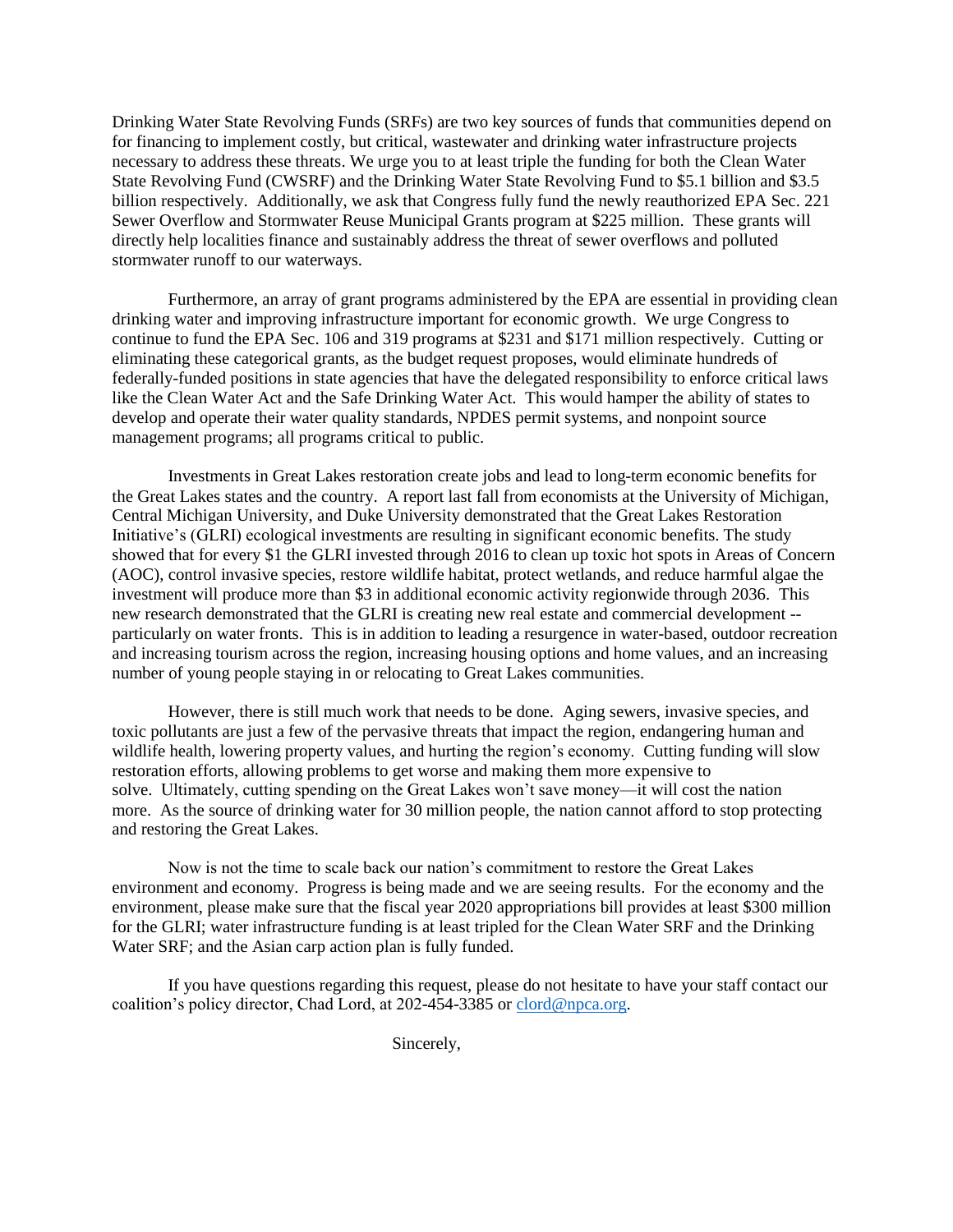Drinking Water State Revolving Funds (SRFs) are two key sources of funds that communities depend on for financing to implement costly, but critical, wastewater and drinking water infrastructure projects necessary to address these threats. We urge you to at least triple the funding for both the Clean Water State Revolving Fund (CWSRF) and the Drinking Water State Revolving Fund to \$5.1 billion and \$3.5 billion respectively. Additionally, we ask that Congress fully fund the newly reauthorized EPA Sec. 221 Sewer Overflow and Stormwater Reuse Municipal Grants program at \$225 million. These grants will directly help localities finance and sustainably address the threat of sewer overflows and polluted stormwater runoff to our waterways.

Furthermore, an array of grant programs administered by the EPA are essential in providing clean drinking water and improving infrastructure important for economic growth. We urge Congress to continue to fund the EPA Sec. 106 and 319 programs at \$231 and \$171 million respectively. Cutting or eliminating these categorical grants, as the budget request proposes, would eliminate hundreds of federally-funded positions in state agencies that have the delegated responsibility to enforce critical laws like the Clean Water Act and the Safe Drinking Water Act. This would hamper the ability of states to develop and operate their water quality standards, NPDES permit systems, and nonpoint source management programs; all programs critical to public.

Investments in Great Lakes restoration create jobs and lead to long-term economic benefits for the Great Lakes states and the country. A report last fall from economists at the University of Michigan, Central Michigan University, and Duke University demonstrated that the Great Lakes Restoration Initiative's (GLRI) ecological investments are resulting in significant economic benefits. The study showed that for every \$1 the GLRI invested through 2016 to clean up toxic hot spots in Areas of Concern (AOC), control invasive species, restore wildlife habitat, protect wetlands, and reduce harmful algae the investment will produce more than \$3 in additional economic activity regionwide through 2036. This new research demonstrated that the GLRI is creating new real estate and commercial development - particularly on water fronts. This is in addition to leading a resurgence in water-based, outdoor recreation and increasing tourism across the region, increasing housing options and home values, and an increasing number of young people staying in or relocating to Great Lakes communities.

However, there is still much work that needs to be done. Aging sewers, invasive species, and toxic pollutants are just a few of the pervasive threats that impact the region, endangering human and wildlife health, lowering property values, and hurting the region's economy. Cutting funding will slow restoration efforts, allowing problems to get worse and making them more expensive to solve. Ultimately, cutting spending on the Great Lakes won't save money—it will cost the nation more. As the source of drinking water for 30 million people, the nation cannot afford to stop protecting and restoring the Great Lakes.

Now is not the time to scale back our nation's commitment to restore the Great Lakes environment and economy. Progress is being made and we are seeing results. For the economy and the environment, please make sure that the fiscal year 2020 appropriations bill provides at least \$300 million for the GLRI; water infrastructure funding is at least tripled for the Clean Water SRF and the Drinking Water SRF; and the Asian carp action plan is fully funded.

If you have questions regarding this request, please do not hesitate to have your staff contact our coalition's policy director, Chad Lord, at 202-454-3385 or [clord@npca.org.](mailto:clord@npca.org)

Sincerely,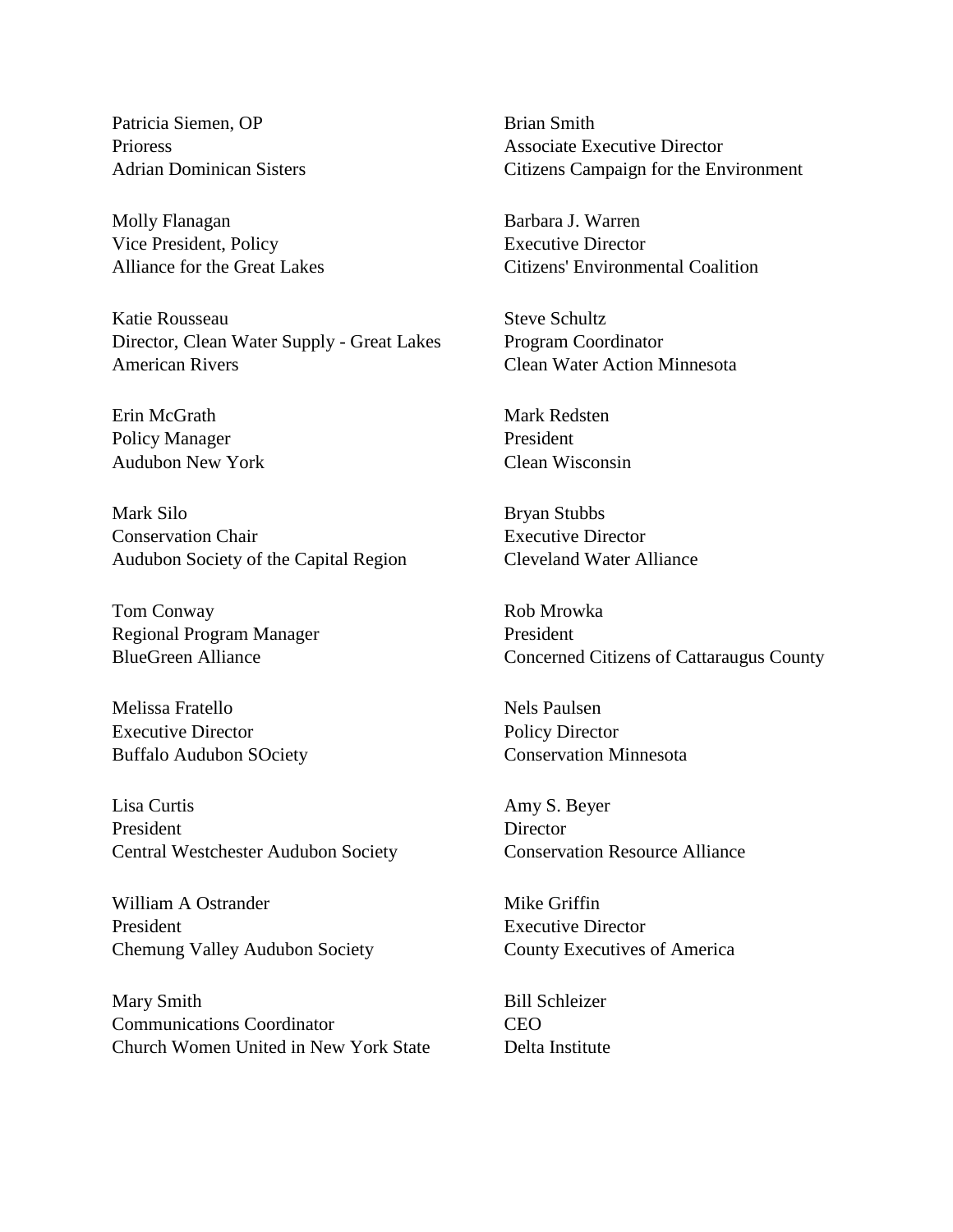Patricia Siemen, OP Prioress Adrian Dominican Sisters

Molly Flanagan Vice President, Policy Alliance for the Great Lakes

Katie Rousseau Director, Clean Water Supply - Great Lakes American Rivers

Erin McGrath Policy Manager Audubon New York

Mark Silo Conservation Chair Audubon Society of the Capital Region

Tom Conway Regional Program Manager BlueGreen Alliance

Melissa Fratello Executive Director Buffalo Audubon SOciety

Lisa Curtis President Central Westchester Audubon Society

William A Ostrander President Chemung Valley Audubon Society

Mary Smith Communications Coordinator Church Women United in New York State Brian Smith Associate Executive Director Citizens Campaign for the Environment

Barbara J. Warren Executive Director Citizens' Environmental Coalition

Steve Schultz Program Coordinator Clean Water Action Minnesota

Mark Redsten President Clean Wisconsin

Bryan Stubbs Executive Director Cleveland Water Alliance

Rob Mrowka President Concerned Citizens of Cattaraugus County

Nels Paulsen Policy Director Conservation Minnesota

Amy S. Beyer **Director** Conservation Resource Alliance

Mike Griffin Executive Director County Executives of America

Bill Schleizer CEO Delta Institute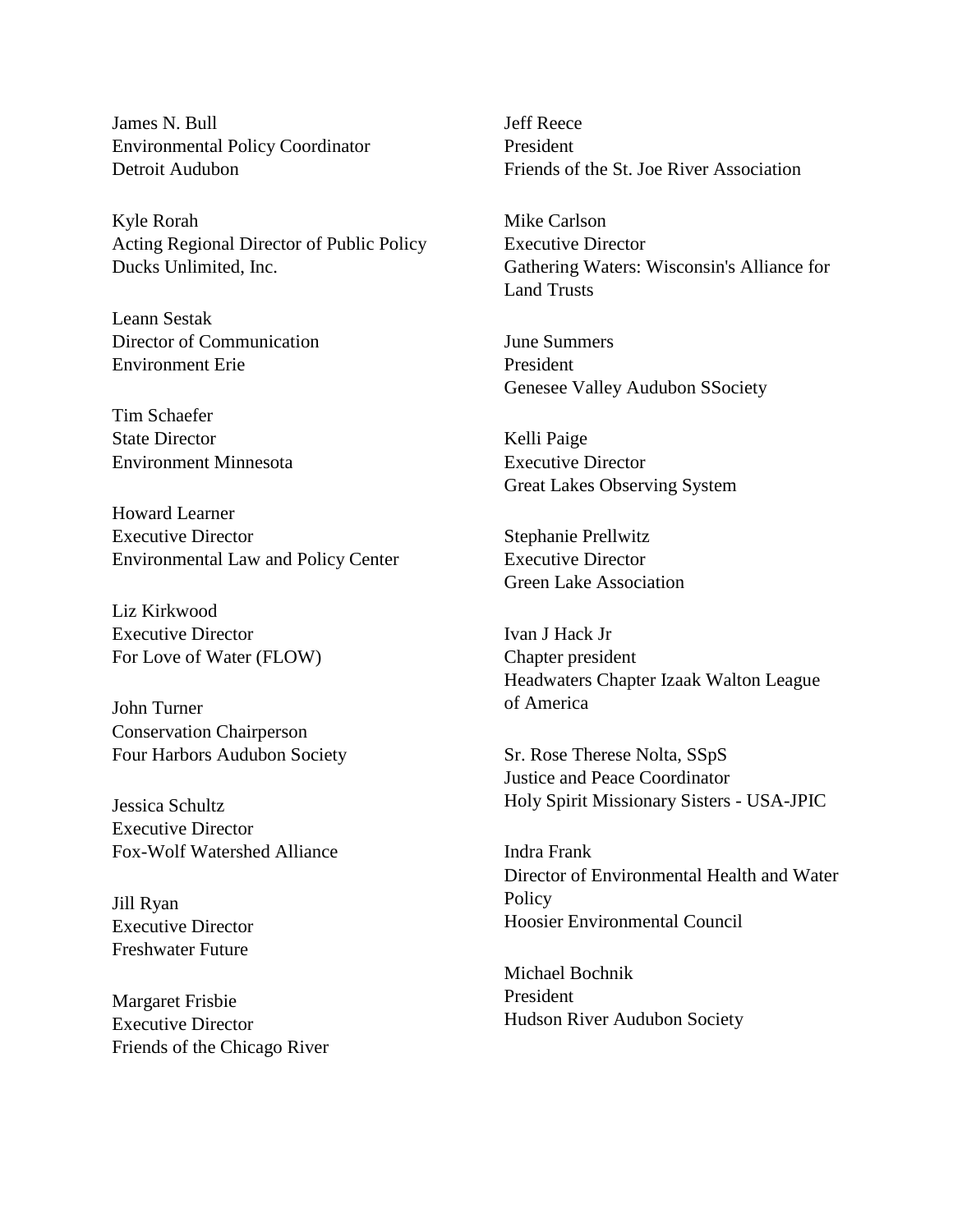James N. Bull Environmental Policy Coordinator Detroit Audubon

Kyle Rorah Acting Regional Director of Public Policy Ducks Unlimited, Inc.

Leann Sestak Director of Communication Environment Erie

Tim Schaefer State Director Environment Minnesota

Howard Learner Executive Director Environmental Law and Policy Center

Liz Kirkwood Executive Director For Love of Water (FLOW)

John Turner Conservation Chairperson Four Harbors Audubon Society

Jessica Schultz Executive Director Fox-Wolf Watershed Alliance

Jill Ryan Executive Director Freshwater Future

Margaret Frisbie Executive Director Friends of the Chicago River Jeff Reece President Friends of the St. Joe River Association

Mike Carlson Executive Director Gathering Waters: Wisconsin's Alliance for Land Trusts

June Summers President Genesee Valley Audubon SSociety

Kelli Paige Executive Director Great Lakes Observing System

Stephanie Prellwitz Executive Director Green Lake Association

Ivan J Hack Jr Chapter president Headwaters Chapter Izaak Walton League of America

Sr. Rose Therese Nolta, SSpS Justice and Peace Coordinator Holy Spirit Missionary Sisters - USA-JPIC

Indra Frank Director of Environmental Health and Water **Policy** Hoosier Environmental Council

Michael Bochnik President Hudson River Audubon Society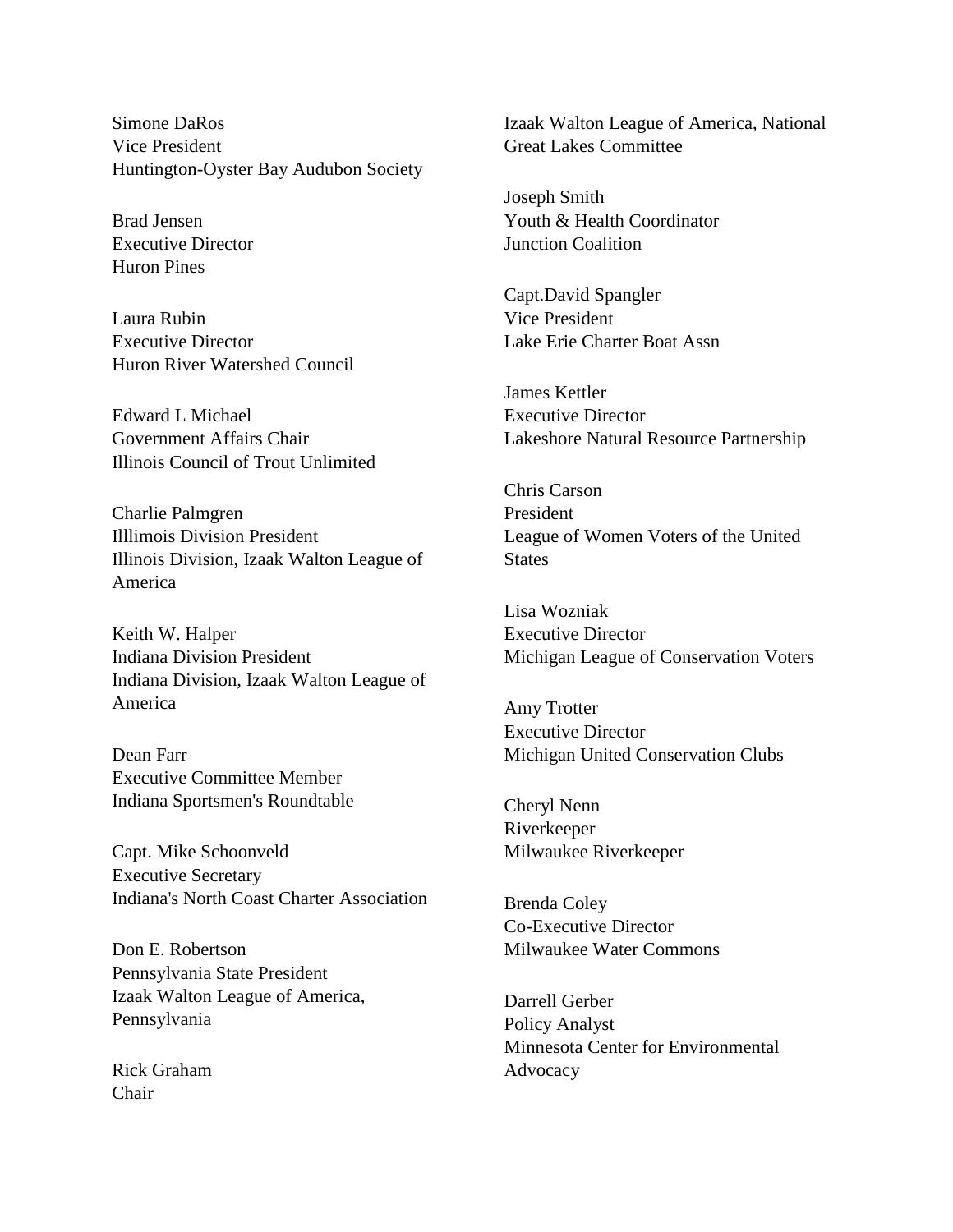Simone DaRos Vice President Huntington-Oyster Bay Audubon Society

Brad Jensen Executive Director Huron Pines

Laura Rubin Executive Director Huron River Watershed Council

Edward L Michael Government Affairs Chair Illinois Council of Trout Unlimited

Charlie Palmgren Illlimois Division President Illinois Division, Izaak Walton League of America

Keith W. Halper Indiana Division President Indiana Division, Izaak Walton League of America

Dean Farr Executive Committee Member Indiana Sportsmen's Roundtable

Capt. Mike Schoonveld Executive Secretary Indiana's North Coast Charter Association

Don E. Robertson Pennsylvania State President Izaak Walton League of America, Pennsylvania

Rick Graham Chair

Izaak Walton League of America, National Great Lakes Committee

Joseph Smith Youth & Health Coordinator Junction Coalition

Capt.David Spangler Vice President Lake Erie Charter Boat Assn

James Kettler Executive Director Lakeshore Natural Resource Partnership

Chris Carson President League of Women Voters of the United **States** 

Lisa Wozniak Executive Director Michigan League of Conservation Voters

Amy Trotter Executive Director Michigan United Conservation Clubs

Cheryl Nenn Riverkeeper Milwaukee Riverkeeper

Brenda Coley Co-Executive Director Milwaukee Water Commons

Darrell Gerber Policy Analyst Minnesota Center for Environmental Advocacy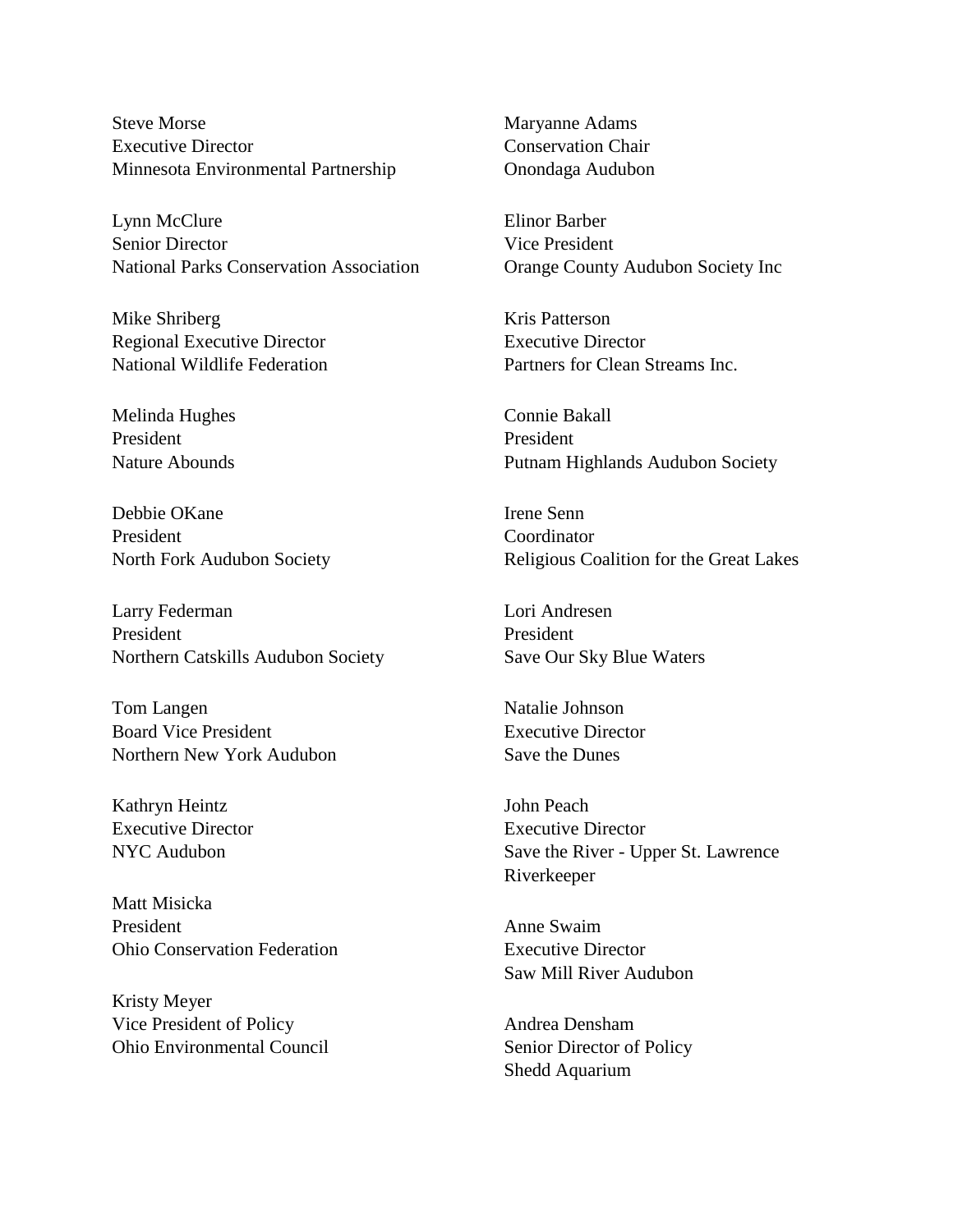Steve Morse Executive Director Minnesota Environmental Partnership

Lynn McClure Senior Director National Parks Conservation Association

Mike Shriberg Regional Executive Director National Wildlife Federation

Melinda Hughes President Nature Abounds

Debbie OKane President North Fork Audubon Society

Larry Federman President Northern Catskills Audubon Society

Tom Langen Board Vice President Northern New York Audubon

Kathryn Heintz Executive Director NYC Audubon

Matt Misicka President Ohio Conservation Federation

Kristy Meyer Vice President of Policy Ohio Environmental Council Maryanne Adams Conservation Chair Onondaga Audubon

Elinor Barber Vice President Orange County Audubon Society Inc

Kris Patterson Executive Director Partners for Clean Streams Inc.

Connie Bakall President Putnam Highlands Audubon Society

Irene Senn Coordinator Religious Coalition for the Great Lakes

Lori Andresen President Save Our Sky Blue Waters

Natalie Johnson Executive Director Save the Dunes

John Peach Executive Director Save the River - Upper St. Lawrence Riverkeeper

Anne Swaim Executive Director Saw Mill River Audubon

Andrea Densham Senior Director of Policy Shedd Aquarium